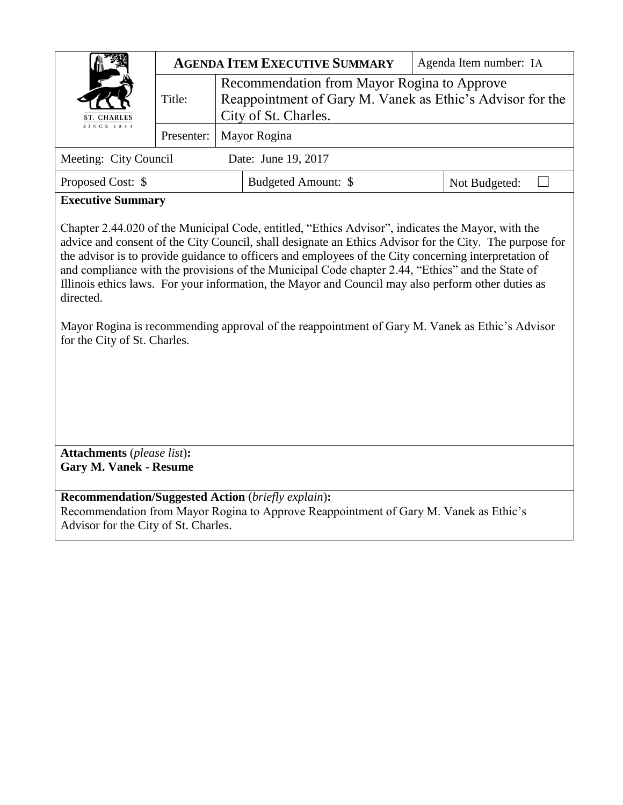|                                                                                                                                                                                                                                                                                                                                                                                                                                                                                                                                                                                                                                                                                | <b>AGENDA ITEM EXECUTIVE SUMMARY</b> |                                                                                                                                  |                                                                                       |  | Agenda Item number: IA |  |  |
|--------------------------------------------------------------------------------------------------------------------------------------------------------------------------------------------------------------------------------------------------------------------------------------------------------------------------------------------------------------------------------------------------------------------------------------------------------------------------------------------------------------------------------------------------------------------------------------------------------------------------------------------------------------------------------|--------------------------------------|----------------------------------------------------------------------------------------------------------------------------------|---------------------------------------------------------------------------------------|--|------------------------|--|--|
| <b>CHARLES</b>                                                                                                                                                                                                                                                                                                                                                                                                                                                                                                                                                                                                                                                                 | Title:                               | Recommendation from Mayor Rogina to Approve<br>Reappointment of Gary M. Vanek as Ethic's Advisor for the<br>City of St. Charles. |                                                                                       |  |                        |  |  |
| SINCE 1834                                                                                                                                                                                                                                                                                                                                                                                                                                                                                                                                                                                                                                                                     | Presenter:                           | Mayor Rogina                                                                                                                     |                                                                                       |  |                        |  |  |
| Meeting: City Council<br>Date: June 19, 2017                                                                                                                                                                                                                                                                                                                                                                                                                                                                                                                                                                                                                                   |                                      |                                                                                                                                  |                                                                                       |  |                        |  |  |
| Proposed Cost: \$                                                                                                                                                                                                                                                                                                                                                                                                                                                                                                                                                                                                                                                              |                                      |                                                                                                                                  | Budgeted Amount: \$                                                                   |  | Not Budgeted:          |  |  |
| <b>Executive Summary</b>                                                                                                                                                                                                                                                                                                                                                                                                                                                                                                                                                                                                                                                       |                                      |                                                                                                                                  |                                                                                       |  |                        |  |  |
| Chapter 2.44.020 of the Municipal Code, entitled, "Ethics Advisor", indicates the Mayor, with the<br>advice and consent of the City Council, shall designate an Ethics Advisor for the City. The purpose for<br>the advisor is to provide guidance to officers and employees of the City concerning interpretation of<br>and compliance with the provisions of the Municipal Code chapter 2.44, "Ethics" and the State of<br>Illinois ethics laws. For your information, the Mayor and Council may also perform other duties as<br>directed.<br>Mayor Rogina is recommending approval of the reappointment of Gary M. Vanek as Ethic's Advisor<br>for the City of St. Charles. |                                      |                                                                                                                                  |                                                                                       |  |                        |  |  |
| <b>Attachments</b> (please list):<br><b>Gary M. Vanek - Resume</b>                                                                                                                                                                                                                                                                                                                                                                                                                                                                                                                                                                                                             |                                      |                                                                                                                                  |                                                                                       |  |                        |  |  |
| <b>Recommendation/Suggested Action (briefly explain):</b><br>Advisor for the City of St. Charles.                                                                                                                                                                                                                                                                                                                                                                                                                                                                                                                                                                              |                                      |                                                                                                                                  | Recommendation from Mayor Rogina to Approve Reappointment of Gary M. Vanek as Ethic's |  |                        |  |  |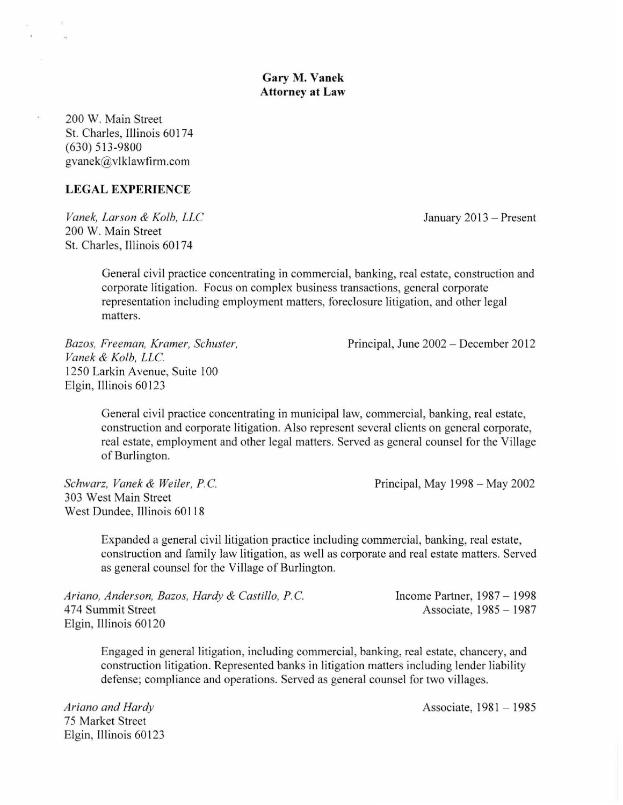## **Gary M. Vanek Attorney at Law**

200 W. Main Street St. Charles, Illinois 60174 (630) 513-9800 gvanek@vlklawfirm.com

**TAY** 

 $\overline{\mathcal{L}}$ 

## **LEGAL EXPERIENCE**

*Vanek, Larson* & *Kolb, LLC*  200 W. Main Street St. Charles, Illinois 60174

January 2013 - Present

General civil practice concentrating in commercial, banking, real estate, construction and corporate litigation. Focus on complex business transactions, general corporate representation including employment matters, foreclosure litigation, and other legal matters.

*Bazos, Freeman, Kramer, Schuster, Vanek* & *Kolb, LLC.*  1250 Larkin Avenue, Suite 100 Elgin, Illinois 60123

Principal, June 2002 - December 2012

General civil practice concentrating in municipal law, commercial, banking, real estate, construction and corporate litigation. Also represent several clients on general corporate, real estate, employment and other legal matters. Served as general counsel for the Village of Burlington.

*Schwarz, Vanek* & *Weiler, P.C.*  303 West Main Street West Dundee, Illinois 60118

Principal, May 1998 - May 2002

Expanded a general civil litigation practice including commercial, banking, real estate, construction and family law litigation, as well as corporate and real estate matters. Served as general counsel for the Village of Burlington.

| Ariano, Anderson, Bazos, Hardy & Castillo, P.C. | Income Partner, $1987 - 1998$ |
|-------------------------------------------------|-------------------------------|
| 474 Summit Street                               | Associate, 1985 - 1987        |
| Elgin, Illinois 60120                           |                               |

Engaged in general litigation, including commercial, banking, real estate, chancery, and construction litigation. Represented banks in litigation matters including lender liability defense; compliance and operations. Served as general counsel for two villages.

*Ariano and Hardy*  75 Market Street Elgin, Illinois 60123

Associate, 1981 - 1985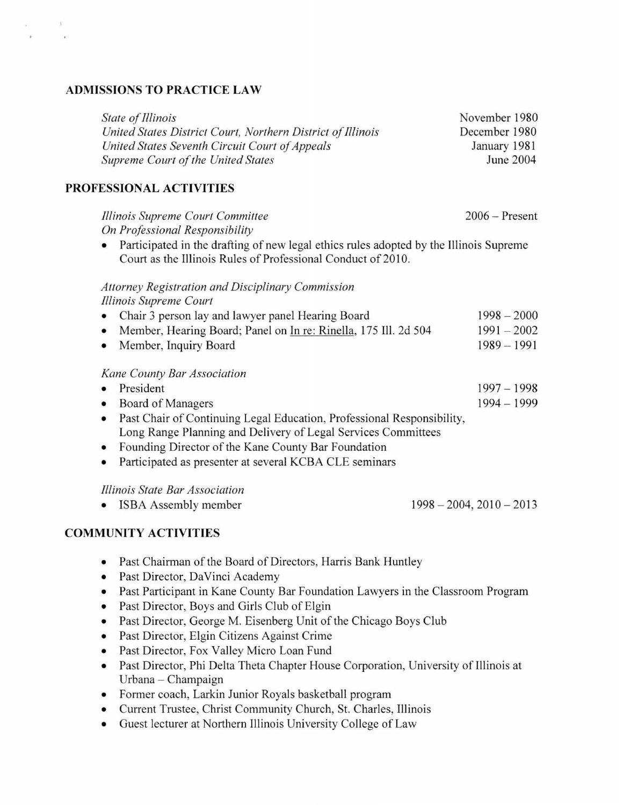## **ADMISSIONS TO PRACTICE LAW**

 $\cdot$ 

 $\bar{\nu}$ 

| State of Illinois<br>United States District Court, Northern District of Illinois<br>United States Seventh Circuit Court of Appeals<br><b>Supreme Court of the United States</b>                                                                                                                                                                                    | November 1980<br>December 1980<br>January 1981<br>June 2004 |
|--------------------------------------------------------------------------------------------------------------------------------------------------------------------------------------------------------------------------------------------------------------------------------------------------------------------------------------------------------------------|-------------------------------------------------------------|
| PROFESSIONAL ACTIVITIES                                                                                                                                                                                                                                                                                                                                            |                                                             |
| Illinois Supreme Court Committee<br>On Professional Responsibility<br>Participated in the drafting of new legal ethics rules adopted by the Illinois Supreme<br>Court as the Illinois Rules of Professional Conduct of 2010.                                                                                                                                       | $2006 -$ Present                                            |
| <b>Attorney Registration and Disciplinary Commission</b>                                                                                                                                                                                                                                                                                                           |                                                             |
| Illinois Supreme Court<br>Chair 3 person lay and lawyer panel Hearing Board<br>٠<br>Member, Hearing Board; Panel on In re: Rinella, 175 Ill. 2d 504<br>٠<br>Member, Inquiry Board<br>$\bullet$                                                                                                                                                                     | $1998 - 2000$<br>$1991 - 2002$<br>$1989 - 1991$             |
| Kane County Bar Association<br>President<br>$\bullet$<br>Board of Managers<br>٠<br>Past Chair of Continuing Legal Education, Professional Responsibility,<br>٠<br>Long Range Planning and Delivery of Legal Services Committees<br>Founding Director of the Kane County Bar Foundation<br>٠<br>Participated as presenter at several KCBA CLE seminars<br>$\bullet$ | $1997 - 1998$<br>$1994 - 1999$                              |
| Illinois State Bar Association<br>ISBA Assembly member                                                                                                                                                                                                                                                                                                             | $1998 - 2004$ , $2010 - 2013$                               |
| <b>COMMUNITY ACTIVITIES</b>                                                                                                                                                                                                                                                                                                                                        |                                                             |
| Past Chairman of the Board of Directors, Harris Bank Huntley                                                                                                                                                                                                                                                                                                       |                                                             |

- Past Director, DaVinci Academy
- Past Participant in Kane County Bar Foundation Lawyers in the Classroom Program
- Past Director, Boys and Girls Club of Elgin
- Past Director, George M. Eisenberg Unit of the Chicago Boys Club
- Past Director, Elgin Citizens Against Crime
- Past Director, Fox Valley Micro Loan Fund
- Past Director, Phi Delta Theta Chapter House Corporation, University of Illinois at Urbana - Champaign
- Former coach, Larkin Junior Royals basketball program
- Current Trustee, Christ Community Church, St. Charles, Illinois
- Guest lecturer at Northern Illinois University College of Law